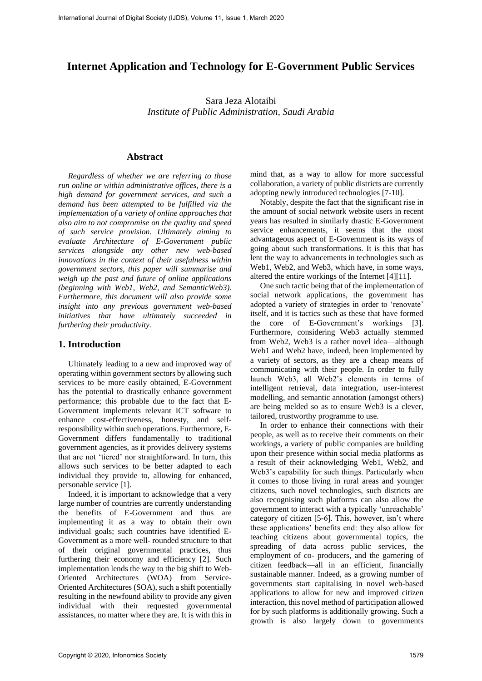# **Internet Application and Technology for E-Government Public Services**

Sara Jeza Alotaibi *Institute of Public Administration, Saudi Arabia*

### **Abstract**

*Regardless of whether we are referring to those run online or within administrative offices, there is a high demand for government services, and such a demand has been attempted to be fulfilled via the implementation of a variety of online approaches that also aim to not compromise on the quality and speed of such service provision. Ultimately aiming to evaluate Architecture of E-Government public services alongside any other new web-based innovations in the context of their usefulness within government sectors, this paper will summarise and weigh up the past and future of online applications (beginning with Web1, Web2, and SemanticWeb3). Furthermore, this document will also provide some insight into any previous government web-based initiatives that have ultimately succeeded in furthering their productivity.*

#### **1. Introduction**

Ultimately leading to a new and improved way of operating within government sectors by allowing such services to be more easily obtained, E-Government has the potential to drastically enhance government performance; this probable due to the fact that E-Government implements relevant ICT software to enhance cost-effectiveness, honesty, and selfresponsibility within such operations. Furthermore, E-Government differs fundamentally to traditional government agencies, as it provides delivery systems that are not 'tiered' nor straightforward. In turn, this allows such services to be better adapted to each individual they provide to, allowing for enhanced, personable service [1].

Indeed, it is important to acknowledge that a very large number of countries are currently understanding the benefits of E-Government and thus are implementing it as a way to obtain their own individual goals; such countries have identified E-Government as a more well- rounded structure to that of their original governmental practices, thus furthering their economy and efficiency [2]. Such implementation lends the way to the big shift to Web-Oriented Architectures (WOA) from Service-Oriented Architectures (SOA), such a shift potentially resulting in the newfound ability to provide any given individual with their requested governmental assistances, no matter where they are. It is with this in

mind that, as a way to allow for more successful collaboration, a variety of public districts are currently adopting newly introduced technologies [7-10].

Notably, despite the fact that the significant rise in the amount of social network website users in recent years has resulted in similarly drastic E-Government service enhancements, it seems that the most advantageous aspect of E-Government is its ways of going about such transformations. It is this that has lent the way to advancements in technologies such as Web1, Web2, and Web3, which have, in some ways, altered the entire workings of the Internet [4][11].

One such tactic being that of the implementation of social network applications, the government has adopted a variety of strategies in order to 'renovate' itself, and it is tactics such as these that have formed the core of E-Government's workings [3]. Furthermore, considering Web3 actually stemmed from Web2, Web3 is a rather novel idea—although Web1 and Web2 have, indeed, been implemented by a variety of sectors, as they are a cheap means of communicating with their people. In order to fully launch Web3, all Web2's elements in terms of intelligent retrieval, data integration, user-interest modelling, and semantic annotation (amongst others) are being melded so as to ensure Web3 is a clever, tailored, trustworthy programme to use.

In order to enhance their connections with their people, as well as to receive their comments on their workings, a variety of public companies are building upon their presence within social media platforms as a result of their acknowledging Web1, Web2, and Web3's capability for such things. Particularly when it comes to those living in rural areas and younger citizens, such novel technologies, such districts are also recognising such platforms can also allow the government to interact with a typically 'unreachable' category of citizen [5-6]. This, however, isn't where these applications' benefits end: they also allow for teaching citizens about governmental topics, the spreading of data across public services, the employment of co- producers, and the garnering of citizen feedback—all in an efficient, financially sustainable manner. Indeed, as a growing number of governments start capitalising in novel web-based applications to allow for new and improved citizen interaction, this novel method of participation allowed for by such platforms is additionally growing. Such a growth is also largely down to governments Internation Assessional Osciety (IJDS), Volume 11, Issue 1, March 2020<br>
Internet Application and Technology for F.-Government Public Services<br>
State Israel March 2020<br> *Experiment of Public Advistments, State Architecture*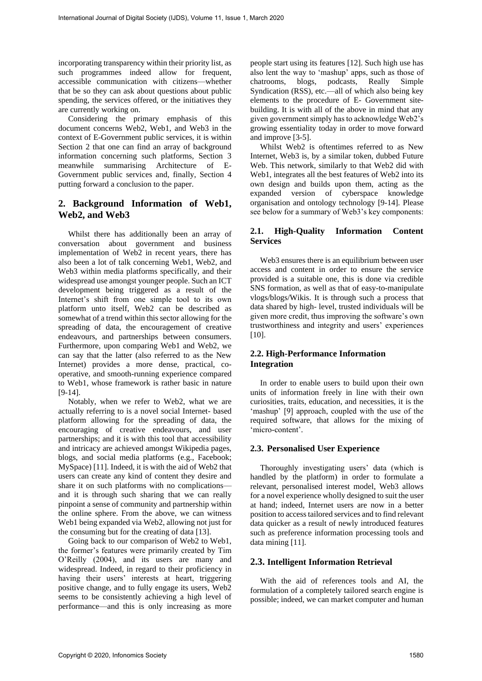incorporating transparency within their priority list, as such programmes indeed allow for frequent, accessible communication with citizens—whether that be so they can ask about questions about public spending, the services offered, or the initiatives they are currently working on.

Considering the primary emphasis of this document concerns Web2, Web1, and Web3 in the context of E-Government public services, it is within Section 2 that one can find an array of background information concerning such platforms, Section 3 meanwhile summarising Architecture of E-Government public services and, finally, Section 4 putting forward a conclusion to the paper.

# **2. Background Information of Web1, Web2, and Web3**

Whilst there has additionally been an array of conversation about government and business implementation of Web2 in recent years, there has also been a lot of talk concerning Web1, Web2, and Web3 within media platforms specifically, and their widespread use amongst younger people. Such an ICT development being triggered as a result of the Internet's shift from one simple tool to its own platform unto itself, Web2 can be described as somewhat of a trend within this sector allowing for the spreading of data, the encouragement of creative endeavours, and partnerships between consumers. Furthermore, upon comparing Web1 and Web2, we can say that the latter (also referred to as the New Internet) provides a more dense, practical, cooperative, and smooth-running experience compared to Web1, whose framework is rather basic in nature [9-14]. Fractional Journal of Digital Society (IJDS), Volume 11, Issue 1, March 2020<br>
Recognizing interpretational Digital Society is help counter that we are the studied in the studied proposition of Digital Society 1580, Intern

Notably, when we refer to Web2, what we are actually referring to is a novel social Internet- based platform allowing for the spreading of data, the encouraging of creative endeavours, and user partnerships; and it is with this tool that accessibility and intricacy are achieved amongst Wikipedia pages, blogs, and social media platforms (e.g., Facebook; MySpace) [11]. Indeed, it is with the aid of Web2 that users can create any kind of content they desire and share it on such platforms with no complications and it is through such sharing that we can really pinpoint a sense of community and partnership within the online sphere. From the above, we can witness Web1 being expanded via Web2, allowing not just for the consuming but for the creating of data [13].

Going back to our comparison of Web2 to Web1, the former's features were primarily created by Tim O'Reilly (2004), and its users are many and widespread. Indeed, in regard to their proficiency in having their users' interests at heart, triggering positive change, and to fully engage its users, Web2 seems to be consistently achieving a high level of performance—and this is only increasing as more

people start using its features [12]. Such high use has also lent the way to 'mashup' apps, such as those of chatrooms, blogs, podcasts, Really Simple Syndication (RSS), etc.—all of which also being key elements to the procedure of E- Government sitebuilding. It is with all of the above in mind that any given government simply has to acknowledge Web2's growing essentiality today in order to move forward and improve [3-5].

Whilst Web2 is oftentimes referred to as New Internet, Web3 is, by a similar token, dubbed Future Web. This network, similarly to that Web2 did with Web1, integrates all the best features of Web2 into its own design and builds upon them, acting as the expanded version of cyberspace knowledge organisation and ontology technology [9-14]. Please see below for a summary of Web3's key components:

## **2.1. High-Quality Information Content Services**

Web3 ensures there is an equilibrium between user access and content in order to ensure the service provided is a suitable one, this is done via credible SNS formation, as well as that of easy-to-manipulate vlogs/blogs/Wikis. It is through such a process that data shared by high- level, trusted individuals will be given more credit, thus improving the software's own trustworthiness and integrity and users' experiences [10].

### **2.2. High-Performance Information Integration**

In order to enable users to build upon their own units of information freely in line with their own curiosities, traits, education, and necessities, it is the 'mashup' [9] approach, coupled with the use of the required software, that allows for the mixing of 'micro-content'.

#### **2.3. Personalised User Experience**

Thoroughly investigating users' data (which is handled by the platform) in order to formulate a relevant, personalised interest model, Web3 allows for a novel experience wholly designed to suit the user at hand; indeed, Internet users are now in a better position to access tailored services and to find relevant data quicker as a result of newly introduced features such as preference information processing tools and data mining [11].

#### **2.3. Intelligent Information Retrieval**

With the aid of references tools and AI, the formulation of a completely tailored search engine is possible; indeed, we can market computer and human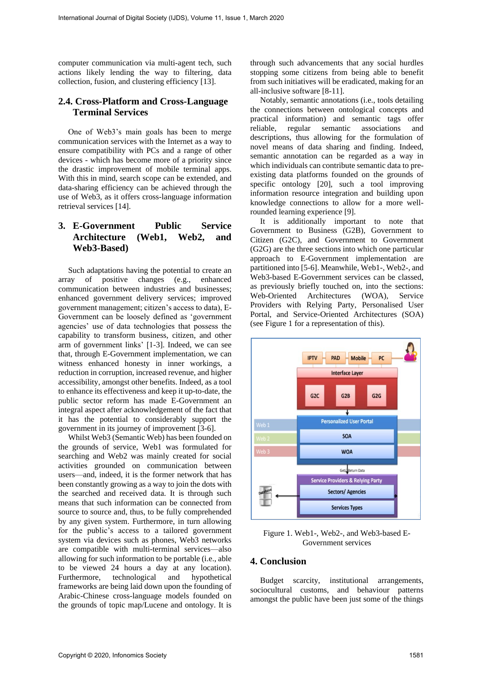computer communication via multi-agent tech, such actions likely lending the way to filtering, data collection, fusion, and clustering efficiency [13].

# **2.4. Cross-Platform and Cross-Language Terminal Services**

One of Web3's main goals has been to merge communication services with the Internet as a way to ensure compatibility with PCs and a range of other devices - which has become more of a priority since the drastic improvement of mobile terminal apps. With this in mind, search scope can be extended, and data-sharing efficiency can be achieved through the use of Web3, as it offers cross-language information retrieval services [14].

## **3. E-Government Public Service Architecture (Web1, Web2, and Web3-Based)**

Such adaptations having the potential to create an array of positive changes (e.g., enhanced communication between industries and businesses; enhanced government delivery services; improved government management; citizen's access to data), E-Government can be loosely defined as 'government agencies' use of data technologies that possess the capability to transform business, citizen, and other arm of government links' [1-3]. Indeed, we can see that, through E-Government implementation, we can witness enhanced honesty in inner workings, a reduction in corruption, increased revenue, and higher accessibility, amongst other benefits. Indeed, as a tool to enhance its effectiveness and keep it up-to-date, the public sector reform has made E-Government an integral aspect after acknowledgement of the fact that it has the potential to considerably support the government in its journey of improvement [3-6].

Whilst Web3 (Semantic Web) has been founded on the grounds of service, Web1 was formulated for searching and Web2 was mainly created for social activities grounded on communication between users—and, indeed, it is the former network that has been constantly growing as a way to join the dots with the searched and received data. It is through such means that such information can be connected from source to source and, thus, to be fully comprehended by any given system. Furthermore, in turn allowing for the public's access to a tailored government system via devices such as phones, Web3 networks are compatible with multi-terminal services—also allowing for such information to be portable (i.e., able to be viewed 24 hours a day at any location). Furthermore, technological and hypothetical frameworks are being laid down upon the founding of Arabic-Chinese cross-language models founded on the grounds of topic map/Lucene and ontology. It is through such advancements that any social hurdles stopping some citizens from being able to benefit from such initiatives will be eradicated, making for an all-inclusive software [8-11].

Notably, semantic annotations (i.e., tools detailing the connections between ontological concepts and practical information) and semantic tags offer reliable, regular semantic associations and descriptions, thus allowing for the formulation of novel means of data sharing and finding. Indeed, semantic annotation can be regarded as a way in which individuals can contribute semantic data to preexisting data platforms founded on the grounds of specific ontology [20], such a tool improving information resource integration and building upon knowledge connections to allow for a more wellrounded learning experience [9].

It is additionally important to note that Government to Business (G2B), Government to Citizen (G2C), and Government to Government (G2G) are the three sections into which one particular approach to E-Government implementation are partitioned into [5-6]. Meanwhile, Web1-, Web2-, and Web3-based E-Government services can be classed, as previously briefly touched on, into the sections: Web-Oriented Architectures (WOA), Service Providers with Relying Party, Personalised User Portal, and Service-Oriented Architectures (SOA) (see Figure 1 for a representation of this).



Figure 1. Web1-, Web2-, and Web3-based E-Government services

### **4. Conclusion**

Budget scarcity, institutional arrangements, sociocultural customs, and behaviour patterns amongst the public have been just some of the things